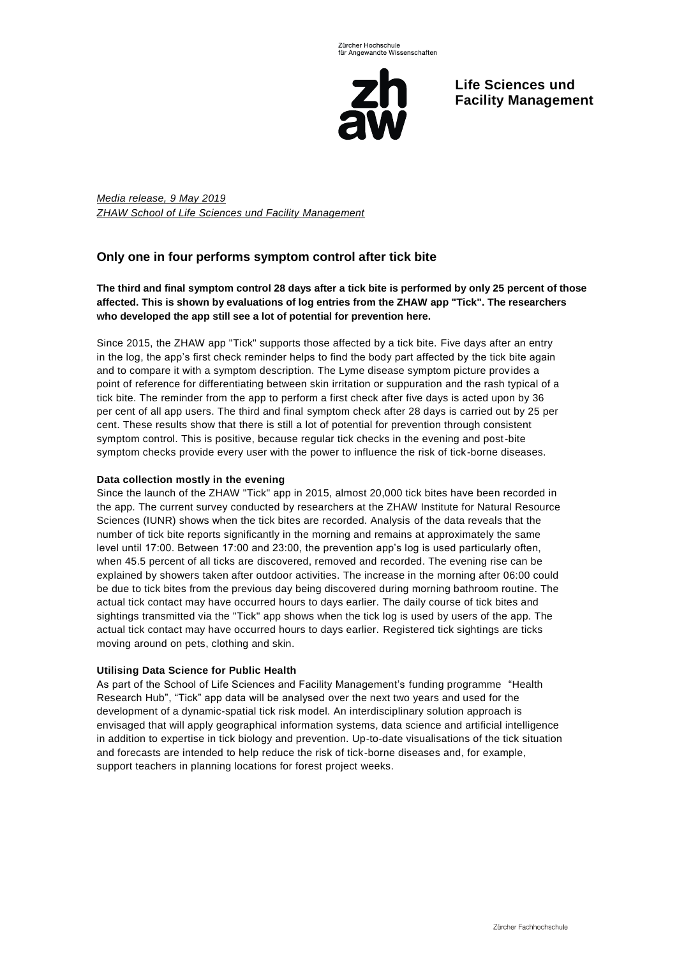

**Life Sciences und Facility Management**

*Media release, 9 May 2019 ZHAW School of Life Sciences und Facility Management*

# **Only one in four performs symptom control after tick bite**

## **The third and final symptom control 28 days after a tick bite is performed by only 25 percent of those affected. This is shown by evaluations of log entries from the ZHAW app "Tick". The researchers who developed the app still see a lot of potential for prevention here.**

Since 2015, the ZHAW app "Tick" supports those affected by a tick bite. Five days after an entry in the log, the app's first check reminder helps to find the body part affected by the tick bite again and to compare it with a symptom description. The Lyme disease symptom picture provides a point of reference for differentiating between skin irritation or suppuration and the rash typical of a tick bite. The reminder from the app to perform a first check after five days is acted upon by 36 per cent of all app users. The third and final symptom check after 28 days is carried out by 25 per cent. These results show that there is still a lot of potential for prevention through consistent symptom control. This is positive, because regular tick checks in the evening and post-bite symptom checks provide every user with the power to influence the risk of tick-borne diseases.

## **Data collection mostly in the evening**

Since the launch of the ZHAW "Tick" app in 2015, almost 20,000 tick bites have been recorded in the app. The current survey conducted by researchers at the ZHAW Institute for Natural Resource Sciences (IUNR) shows when the tick bites are recorded. Analysis of the data reveals that the number of tick bite reports significantly in the morning and remains at approximately the same level until 17:00. Between 17:00 and 23:00, the prevention app's log is used particularly often, when 45.5 percent of all ticks are discovered, removed and recorded. The evening rise can be explained by showers taken after outdoor activities. The increase in the morning after 06:00 could be due to tick bites from the previous day being discovered during morning bathroom routine. The actual tick contact may have occurred hours to days earlier. The daily course of tick bites and sightings transmitted via the "Tick" app shows when the tick log is used by users of the app. The actual tick contact may have occurred hours to days earlier. Registered tick sightings are ticks moving around on pets, clothing and skin.

## **Utilising Data Science for Public Health**

As part of the School of Life Sciences and Facility Management's funding programme "Health Research Hub", "Tick" app data will be analysed over the next two years and used for the development of a dynamic-spatial tick risk model. An interdisciplinary solution approach is envisaged that will apply geographical information systems, data science and artificial intelligence in addition to expertise in tick biology and prevention. Up-to-date visualisations of the tick situation and forecasts are intended to help reduce the risk of tick-borne diseases and, for example, support teachers in planning locations for forest project weeks.